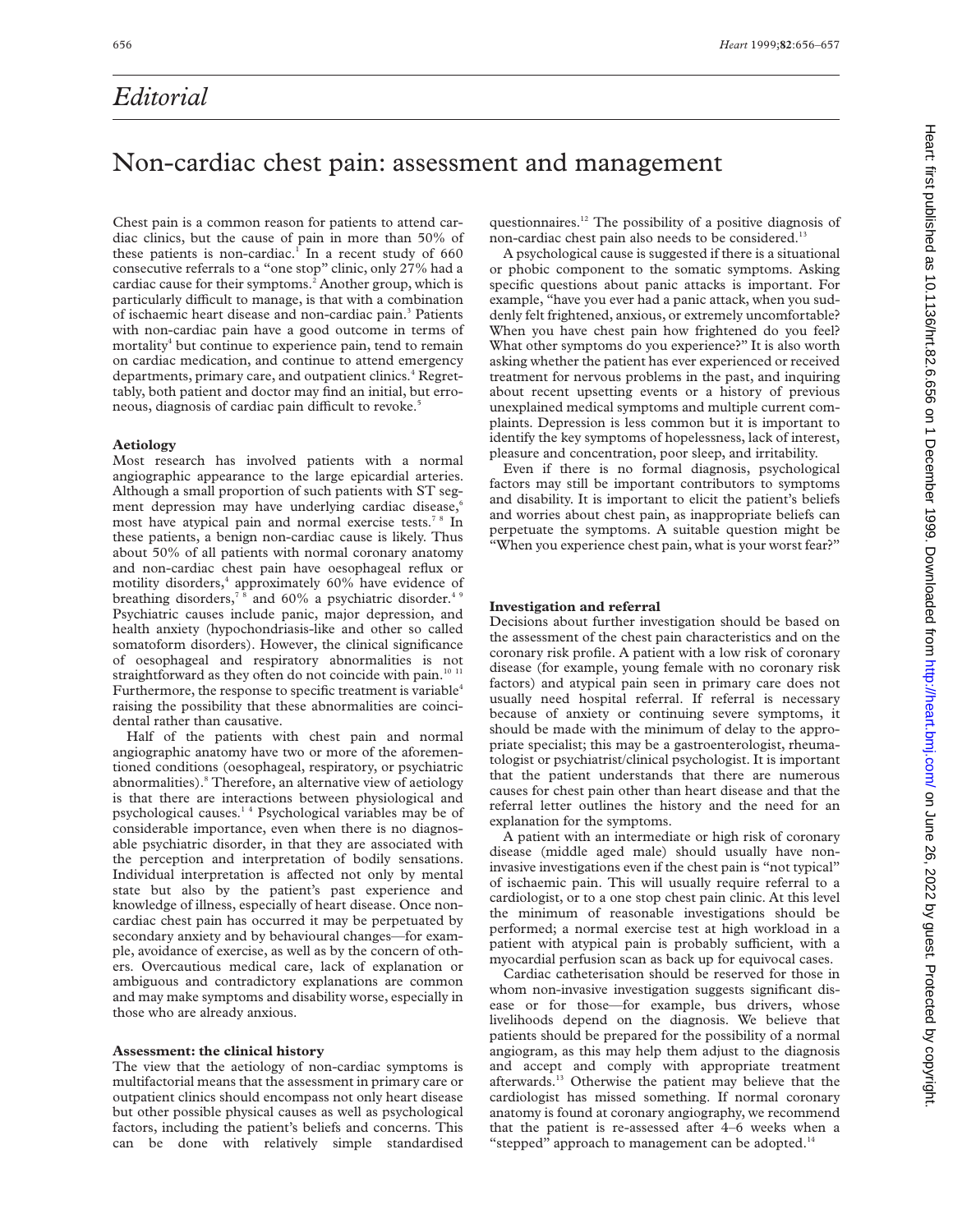# *Editorial*

# Heatt: first published as 10.1136/hrt.82.6.656 on 1 December 1999. Downloaded from http://heart.bmj.com/ on June 26, 2022 by guest. Protected by copyright on June 26, 2022 by guest. Protected by copyright. <http://heart.bmj.com/> Heart: first published as 10.1136/hrt.82.6.656 on 1 December 1999. Downloaded from

## Non-cardiac chest pain: assessment and management

Chest pain is a common reason for patients to attend cardiac clinics, but the cause of pain in more than 50% of these patients is non-cardiac.<sup>1</sup> In a recent study of  $660$ consecutive referrals to a "one stop" clinic, only 27% had a cardiac cause for their symptoms.<sup>2</sup> Another group, which is particularly difficult to manage, is that with a combination of ischaemic heart disease and non-cardiac pain.3 Patients with non-cardiac pain have a good outcome in terms of mortality<sup>4</sup> but continue to experience pain, tend to remain on cardiac medication, and continue to attend emergency departments, primary care, and outpatient clinics.<sup>4</sup> Regrettably, both patient and doctor may find an initial, but erroneous, diagnosis of cardiac pain difficult to revoke.<sup>5</sup>

### **Aetiology**

Most research has involved patients with a normal angiographic appearance to the large epicardial arteries. Although a small proportion of such patients with ST segment depression may have underlying cardiac disease,<sup>6</sup> most have atypical pain and normal exercise tests.7 8 In these patients, a benign non-cardiac cause is likely. Thus about 50% of all patients with normal coronary anatomy and non-cardiac chest pain have oesophageal reflux or motility disorders,<sup>4</sup> approximately 60% have evidence of breathing disorders,<sup>78</sup> and 60% a psychiatric disorder.<sup>49</sup> Psychiatric causes include panic, major depression, and health anxiety (hypochondriasis-like and other so called somatoform disorders). However, the clinical significance of oesophageal and respiratory abnormalities is not straightforward as they often do not coincide with pain.<sup>10</sup> <sup>1</sup> Furthermore, the response to specific treatment is variable<sup>4</sup> raising the possibility that these abnormalities are coincidental rather than causative.

Half of the patients with chest pain and normal angiographic anatomy have two or more of the aforementioned conditions (oesophageal, respiratory, or psychiatric abnormalities).<sup>8</sup> Therefore, an alternative view of aetiology is that there are interactions between physiological and psychological causes.1 4 Psychological variables may be of considerable importance, even when there is no diagnosable psychiatric disorder, in that they are associated with the perception and interpretation of bodily sensations. Individual interpretation is affected not only by mental state but also by the patient's past experience and knowledge of illness, especially of heart disease. Once noncardiac chest pain has occurred it may be perpetuated by secondary anxiety and by behavioural changes—for example, avoidance of exercise, as well as by the concern of others. Overcautious medical care, lack of explanation or ambiguous and contradictory explanations are common and may make symptoms and disability worse, especially in those who are already anxious.

### **Assessment: the clinical history**

The view that the aetiology of non-cardiac symptoms is multifactorial means that the assessment in primary care or outpatient clinics should encompass not only heart disease but other possible physical causes as well as psychological factors, including the patient's beliefs and concerns. This can be done with relatively simple standardised

questionnaires.12 The possibility of a positive diagnosis of non-cardiac chest pain also needs to be considered.<sup>13</sup>

A psychological cause is suggested if there is a situational or phobic component to the somatic symptoms. Asking specific questions about panic attacks is important. For example, "have you ever had a panic attack, when you suddenly felt frightened, anxious, or extremely uncomfortable? When you have chest pain how frightened do you feel? What other symptoms do you experience?" It is also worth asking whether the patient has ever experienced or received treatment for nervous problems in the past, and inquiring about recent upsetting events or a history of previous unexplained medical symptoms and multiple current complaints. Depression is less common but it is important to identify the key symptoms of hopelessness, lack of interest, pleasure and concentration, poor sleep, and irritability.

Even if there is no formal diagnosis, psychological factors may still be important contributors to symptoms and disability. It is important to elicit the patient's beliefs and worries about chest pain, as inappropriate beliefs can perpetuate the symptoms. A suitable question might be "When you experience chest pain, what is your worst fear?"

### **Investigation and referral**

Decisions about further investigation should be based on the assessment of the chest pain characteristics and on the coronary risk profile. A patient with a low risk of coronary disease (for example, young female with no coronary risk factors) and atypical pain seen in primary care does not usually need hospital referral. If referral is necessary because of anxiety or continuing severe symptoms, it should be made with the minimum of delay to the appropriate specialist; this may be a gastroenterologist, rheumatologist or psychiatrist/clinical psychologist. It is important that the patient understands that there are numerous causes for chest pain other than heart disease and that the referral letter outlines the history and the need for an explanation for the symptoms.

A patient with an intermediate or high risk of coronary disease (middle aged male) should usually have noninvasive investigations even if the chest pain is "not typical" of ischaemic pain. This will usually require referral to a cardiologist, or to a one stop chest pain clinic. At this level the minimum of reasonable investigations should be performed; a normal exercise test at high workload in a patient with atypical pain is probably sufficient, with a myocardial perfusion scan as back up for equivocal cases.

Cardiac catheterisation should be reserved for those in whom non-invasive investigation suggests significant disease or for those—for example, bus drivers, whose livelihoods depend on the diagnosis. We believe that patients should be prepared for the possibility of a normal angiogram, as this may help them adjust to the diagnosis and accept and comply with appropriate treatment afterwards.13 Otherwise the patient may believe that the cardiologist has missed something. If normal coronary anatomy is found at coronary angiography, we recommend that the patient is re-assessed after 4–6 weeks when a "stepped" approach to management can be adopted.<sup>14</sup>